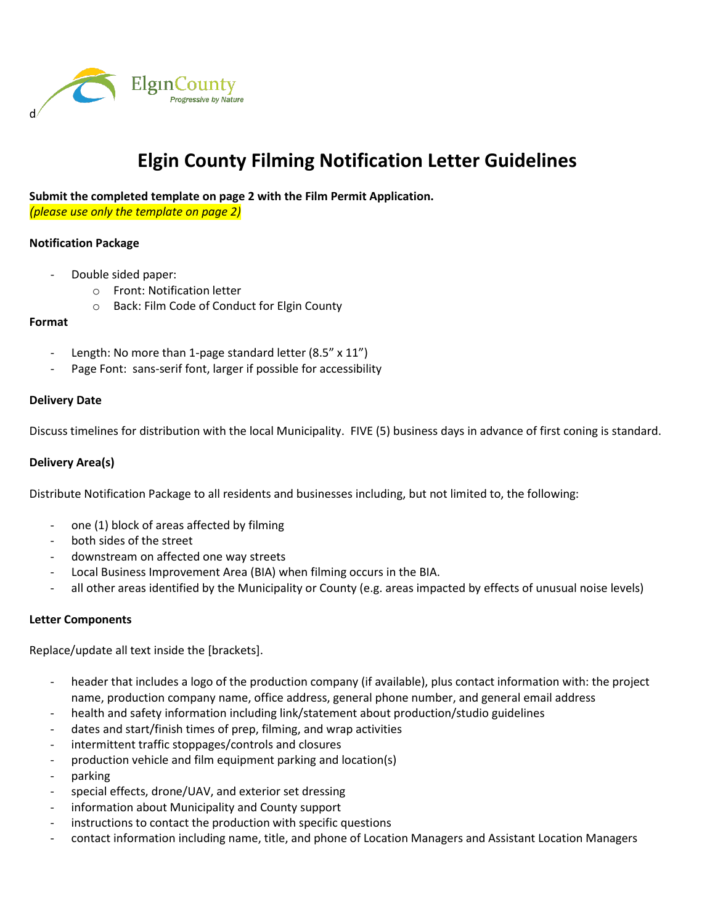

# **Elgin County Filming Notification Letter Guidelines**

**Submit the completed template on page 2 with the Film Permit Application.**

*(please use only the template on page 2)*

### **Notification Package**

- Double sided paper:
	- o Front: Notification letter
	- o Back: Film Code of Conduct for Elgin County

#### **Format**

- Length: No more than 1-page standard letter (8.5" x 11")
- Page Font: sans-serif font, larger if possible for accessibility

#### **Delivery Date**

Discuss timelines for distribution with the local Municipality. FIVE (5) business days in advance of first coning is standard.

## **Delivery Area(s)**

Distribute Notification Package to all residents and businesses including, but not limited to, the following:

- one (1) block of areas affected by filming
- both sides of the street
- downstream on affected one way streets
- Local Business Improvement Area (BIA) when filming occurs in the BIA.
- all other areas identified by the Municipality or County (e.g. areas impacted by effects of unusual noise levels)

#### **Letter Components**

Replace/update all text inside the [brackets].

- header that includes a logo of the production company (if available), plus contact information with: the project name, production company name, office address, general phone number, and general email address
- health and safety information including link/statement about production/studio guidelines
- dates and start/finish times of prep, filming, and wrap activities
- intermittent traffic stoppages/controls and closures
- production vehicle and film equipment parking and location(s)
- parking
- special effects, drone/UAV, and exterior set dressing
- information about Municipality and County support
- instructions to contact the production with specific questions
- contact information including name, title, and phone of Location Managers and Assistant Location Managers